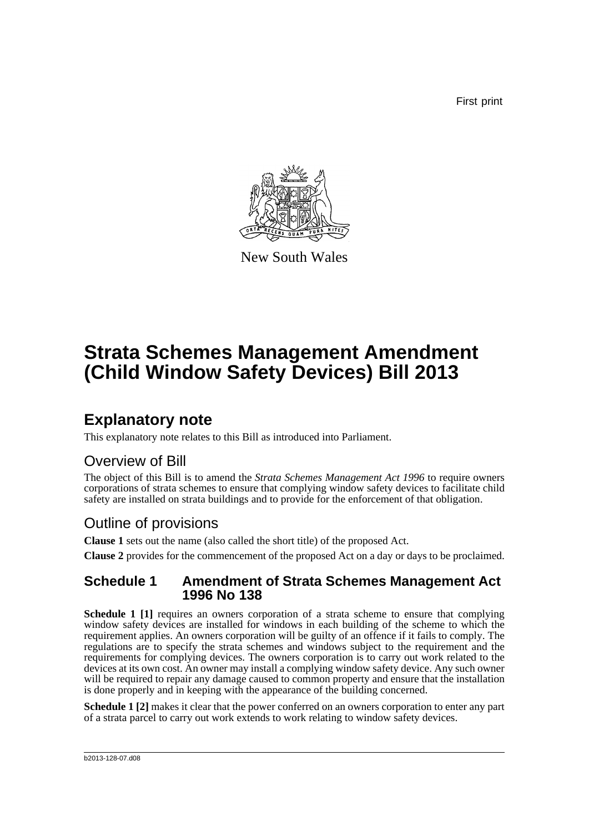First print



New South Wales

# **Strata Schemes Management Amendment (Child Window Safety Devices) Bill 2013**

## **Explanatory note**

This explanatory note relates to this Bill as introduced into Parliament.

### Overview of Bill

The object of this Bill is to amend the *Strata Schemes Management Act 1996* to require owners corporations of strata schemes to ensure that complying window safety devices to facilitate child safety are installed on strata buildings and to provide for the enforcement of that obligation.

### Outline of provisions

**Clause 1** sets out the name (also called the short title) of the proposed Act.

**Clause 2** provides for the commencement of the proposed Act on a day or days to be proclaimed.

#### **Schedule 1 Amendment of Strata Schemes Management Act 1996 No 138**

**Schedule 1 [1]** requires an owners corporation of a strata scheme to ensure that complying window safety devices are installed for windows in each building of the scheme to which the requirement applies. An owners corporation will be guilty of an offence if it fails to comply. The regulations are to specify the strata schemes and windows subject to the requirement and the requirements for complying devices. The owners corporation is to carry out work related to the devices at its own cost. An owner may install a complying window safety device. Any such owner will be required to repair any damage caused to common property and ensure that the installation is done properly and in keeping with the appearance of the building concerned.

**Schedule 1 [2]** makes it clear that the power conferred on an owners corporation to enter any part of a strata parcel to carry out work extends to work relating to window safety devices.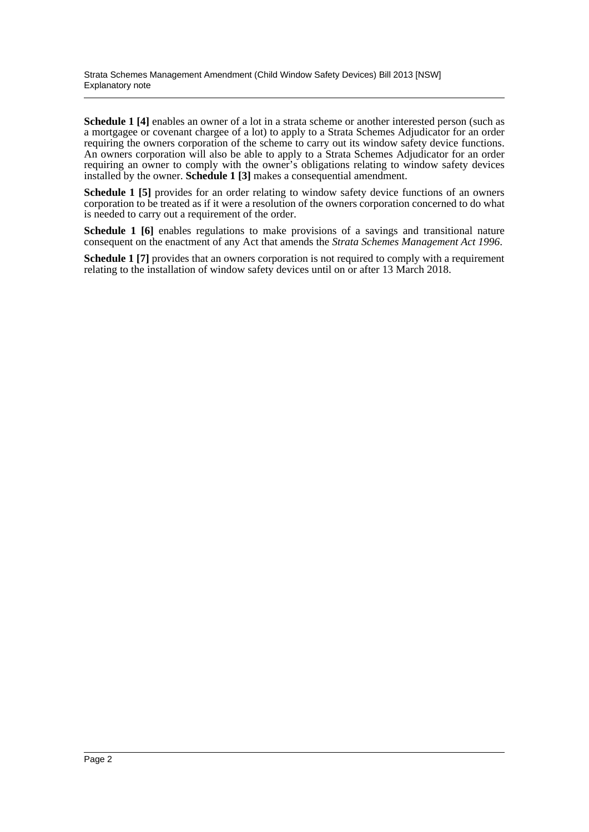**Schedule 1** [4] enables an owner of a lot in a strata scheme or another interested person (such as a mortgagee or covenant chargee of a lot) to apply to a Strata Schemes Adjudicator for an order requiring the owners corporation of the scheme to carry out its window safety device functions. An owners corporation will also be able to apply to a Strata Schemes Adjudicator for an order requiring an owner to comply with the owner's obligations relating to window safety devices installed by the owner. **Schedule 1 [3]** makes a consequential amendment.

**Schedule 1 [5]** provides for an order relating to window safety device functions of an owners corporation to be treated as if it were a resolution of the owners corporation concerned to do what is needed to carry out a requirement of the order.

**Schedule 1 [6]** enables regulations to make provisions of a savings and transitional nature consequent on the enactment of any Act that amends the *Strata Schemes Management Act 1996*.

**Schedule 1 [7]** provides that an owners corporation is not required to comply with a requirement relating to the installation of window safety devices until on or after 13 March 2018.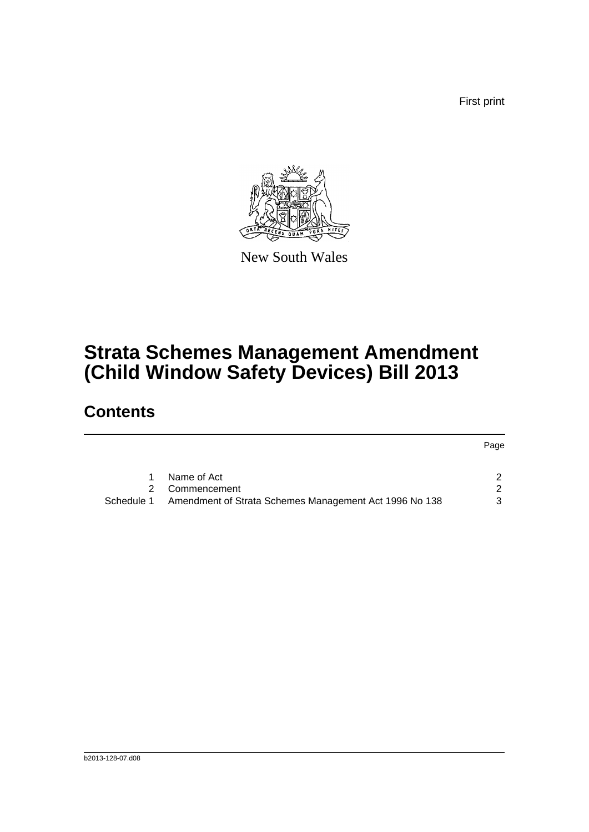First print



New South Wales

# **Strata Schemes Management Amendment (Child Window Safety Devices) Bill 2013**

## **Contents**

|            |                                                        | Page |
|------------|--------------------------------------------------------|------|
|            | Name of Act                                            |      |
|            | Commencement                                           | 2    |
| Schedule 1 | Amendment of Strata Schemes Management Act 1996 No 138 | 3    |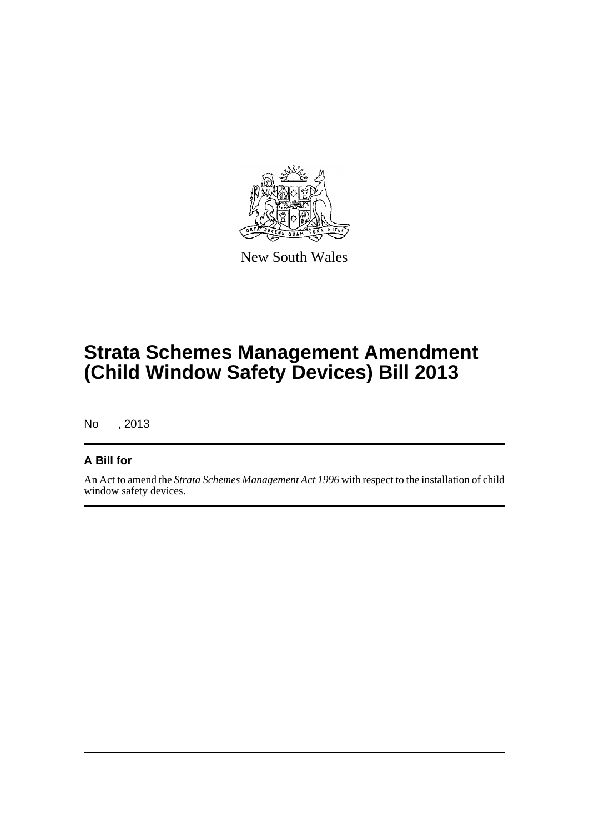

New South Wales

# **Strata Schemes Management Amendment (Child Window Safety Devices) Bill 2013**

No , 2013

#### **A Bill for**

An Act to amend the *Strata Schemes Management Act 1996* with respect to the installation of child window safety devices.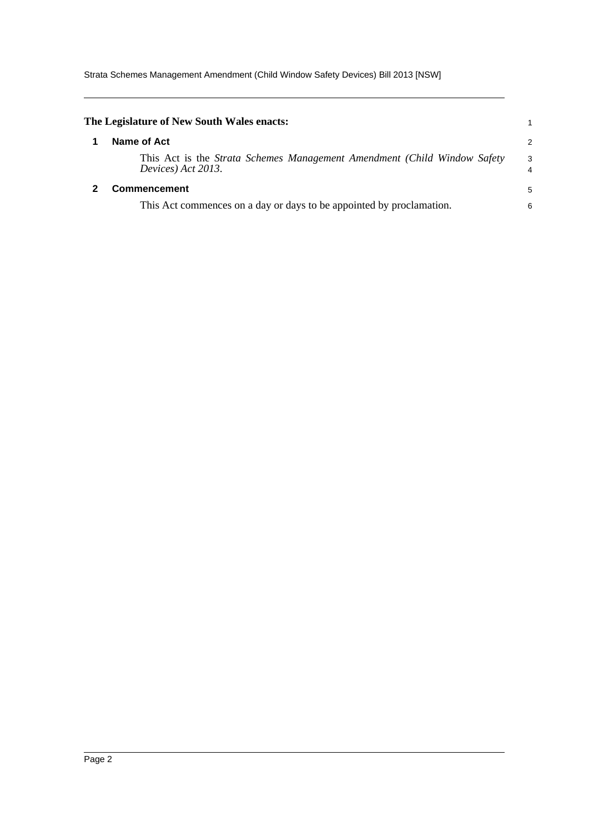Strata Schemes Management Amendment (Child Window Safety Devices) Bill 2013 [NSW]

<span id="page-4-1"></span><span id="page-4-0"></span>

| The Legislature of New South Wales enacts:                                                     |                      |
|------------------------------------------------------------------------------------------------|----------------------|
| Name of Act                                                                                    | $\overline{2}$       |
| This Act is the Strata Schemes Management Amendment (Child Window Safety<br>Devices) Act 2013. | -3<br>$\overline{4}$ |
| <b>Commencement</b>                                                                            | 5                    |
| This Act commences on a day or days to be appointed by proclamation.                           | 6                    |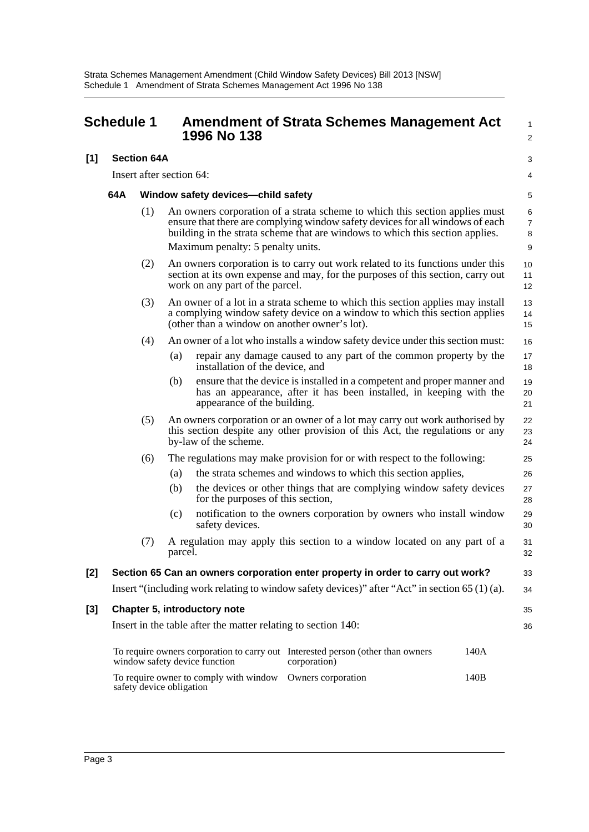<span id="page-5-0"></span>

|     | <b>Schedule 1</b> |                          |                                    | 1996 No 138                                                   | <b>Amendment of Strata Schemes Management Act</b>                                                                                                                                                                                             |      | 1<br>$\overline{2}$           |
|-----|-------------------|--------------------------|------------------------------------|---------------------------------------------------------------|-----------------------------------------------------------------------------------------------------------------------------------------------------------------------------------------------------------------------------------------------|------|-------------------------------|
| [1] |                   | <b>Section 64A</b>       |                                    |                                                               |                                                                                                                                                                                                                                               |      | 3                             |
|     |                   | Insert after section 64: |                                    |                                                               |                                                                                                                                                                                                                                               |      | 4                             |
|     | 64A               |                          | Window safety devices-child safety |                                                               |                                                                                                                                                                                                                                               |      | 5                             |
|     |                   | (1)                      |                                    | Maximum penalty: 5 penalty units.                             | An owners corporation of a strata scheme to which this section applies must<br>ensure that there are complying window safety devices for all windows of each<br>building in the strata scheme that are windows to which this section applies. |      | 6<br>$\overline{7}$<br>8<br>9 |
|     |                   | (2)                      |                                    | work on any part of the parcel.                               | An owners corporation is to carry out work related to its functions under this<br>section at its own expense and may, for the purposes of this section, carry out                                                                             |      | 10<br>11<br>12                |
|     |                   | (3)                      |                                    | (other than a window on another owner's lot).                 | An owner of a lot in a strata scheme to which this section applies may install<br>a complying window safety device on a window to which this section applies                                                                                  |      | 13<br>14<br>15                |
|     |                   | (4)                      |                                    |                                                               | An owner of a lot who installs a window safety device under this section must:                                                                                                                                                                |      | 16                            |
|     |                   |                          | (a)                                | installation of the device, and                               | repair any damage caused to any part of the common property by the                                                                                                                                                                            |      | 17<br>18                      |
|     |                   |                          | (b)                                | appearance of the building.                                   | ensure that the device is installed in a competent and proper manner and<br>has an appearance, after it has been installed, in keeping with the                                                                                               |      | 19<br>20<br>21                |
|     |                   | (5)                      |                                    | by-law of the scheme.                                         | An owners corporation or an owner of a lot may carry out work authorised by<br>this section despite any other provision of this Act, the regulations or any                                                                                   |      | 22<br>23<br>24                |
|     |                   | (6)                      |                                    |                                                               | The regulations may make provision for or with respect to the following:                                                                                                                                                                      |      | 25                            |
|     |                   |                          | (a)                                |                                                               | the strata schemes and windows to which this section applies,                                                                                                                                                                                 |      | 26                            |
|     |                   |                          | (b)                                | for the purposes of this section,                             | the devices or other things that are complying window safety devices                                                                                                                                                                          |      | 27<br>28                      |
|     |                   |                          | (c)                                | safety devices.                                               | notification to the owners corporation by owners who install window                                                                                                                                                                           |      | 29<br>30                      |
|     |                   | (7)                      | parcel.                            |                                                               | A regulation may apply this section to a window located on any part of a                                                                                                                                                                      |      | 31<br>32                      |
| [2] |                   |                          |                                    |                                                               | Section 65 Can an owners corporation enter property in order to carry out work?                                                                                                                                                               |      | 33                            |
|     |                   |                          |                                    |                                                               | Insert "(including work relating to window safety devices)" after "Act" in section 65 (1) (a).                                                                                                                                                |      | 34                            |
| [3] |                   |                          |                                    | Chapter 5, introductory note                                  |                                                                                                                                                                                                                                               |      | 35                            |
|     |                   |                          |                                    | Insert in the table after the matter relating to section 140: |                                                                                                                                                                                                                                               |      | 36                            |
|     |                   |                          |                                    | window safety device function                                 | To require owners corporation to carry out Interested person (other than owners<br>corporation)                                                                                                                                               | 140A |                               |
|     |                   | safety device obligation |                                    | To require owner to comply with window                        | Owners corporation                                                                                                                                                                                                                            | 140B |                               |